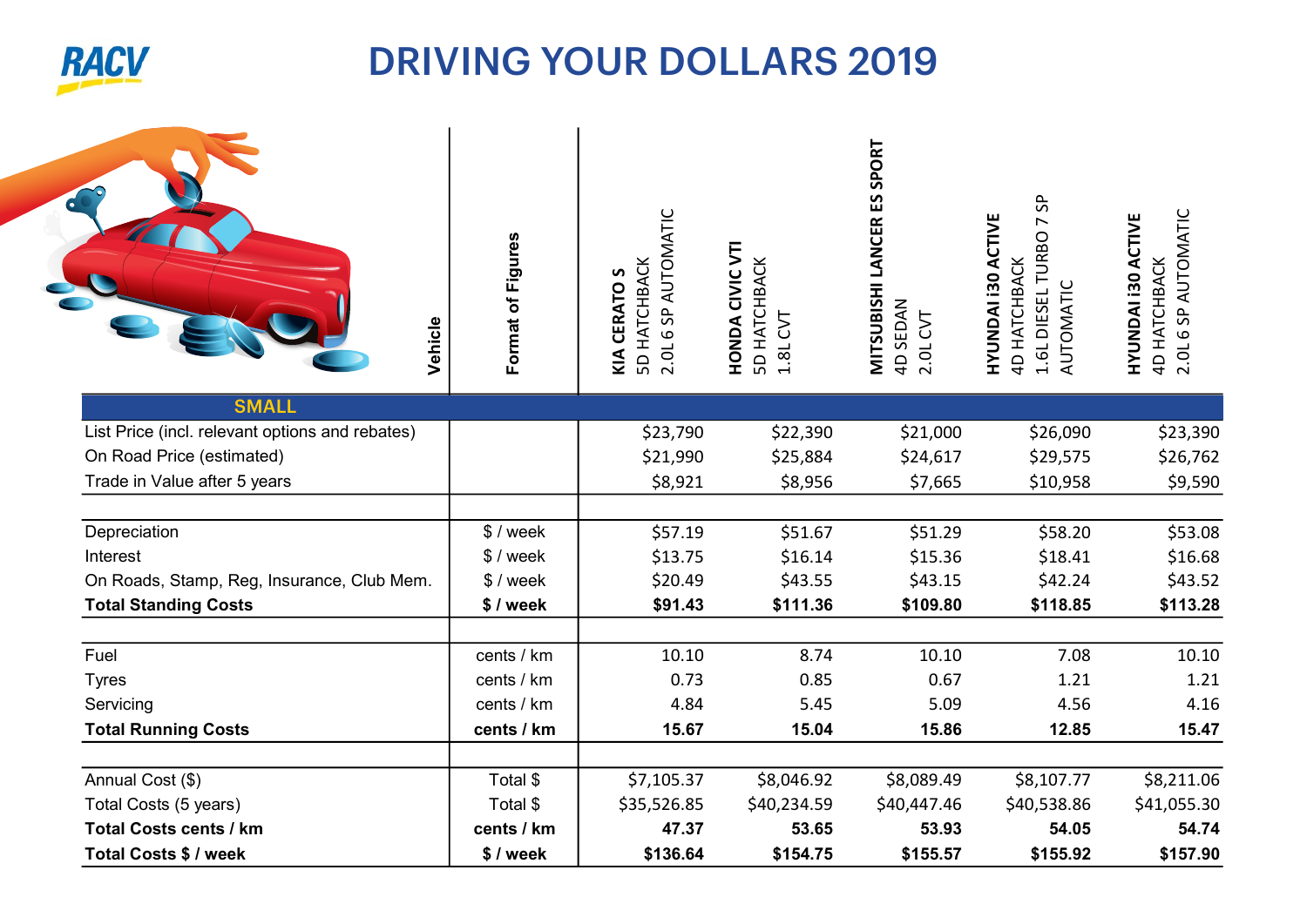

## DRIVING YOUR DOLLARS 2019 2019

| Vehicle                                         | Format of Figures | 2.0L 6 SP AUTOMATIC<br><b>5D HATCHBACK</b><br>KIA CERATO S | HONDA CIVIC VTI<br><b>5D HATCHBACK</b><br>5 <sub>0</sub><br>1.8L | MITSUBISHI LANCER ES SPORT<br>4D SEDAN<br>2.0L CVT | 5<br><b>HYUNDAI 130 ACTIVE</b><br>1.6L DIESEL TURBO<br><b>4D HATCHBACK</b><br>AUTOMATIC | 4D HATCHBACK<br>2.0L 6 SP AUTOMATIC<br>HYUNDAI 130 ACTIVE |
|-------------------------------------------------|-------------------|------------------------------------------------------------|------------------------------------------------------------------|----------------------------------------------------|-----------------------------------------------------------------------------------------|-----------------------------------------------------------|
| <b>SMALL</b>                                    |                   |                                                            |                                                                  |                                                    |                                                                                         |                                                           |
| List Price (incl. relevant options and rebates) |                   | \$23,790                                                   | \$22,390                                                         | \$21,000                                           | \$26,090                                                                                | \$23,390                                                  |
| On Road Price (estimated)                       |                   | \$21,990                                                   | \$25,884                                                         | \$24,617                                           | \$29,575                                                                                | \$26,762                                                  |
| Trade in Value after 5 years                    |                   | \$8,921                                                    | \$8,956                                                          | \$7,665                                            | \$10,958                                                                                | \$9,590                                                   |
| Depreciation                                    | $$$ / week        | \$57.19                                                    | \$51.67                                                          | \$51.29                                            | \$58.20                                                                                 | \$53.08                                                   |
| Interest                                        | \$ / week         | \$13.75                                                    | \$16.14                                                          | \$15.36                                            | \$18.41                                                                                 | \$16.68                                                   |
| On Roads, Stamp, Reg, Insurance, Club Mem.      | $$$ / week        | \$20.49                                                    | \$43.55                                                          | \$43.15                                            | \$42.24                                                                                 | \$43.52                                                   |
| <b>Total Standing Costs</b>                     | \$/week           | \$91.43                                                    | \$111.36                                                         | \$109.80                                           | \$118.85                                                                                | \$113.28                                                  |
| Fuel                                            | cents / km        | 10.10                                                      | 8.74                                                             | 10.10                                              | 7.08                                                                                    | 10.10                                                     |
| <b>Tyres</b>                                    | cents / km        | 0.73                                                       | 0.85                                                             | 0.67                                               | 1.21                                                                                    | 1.21                                                      |
| Servicing                                       | cents / km        | 4.84                                                       | 5.45                                                             | 5.09                                               | 4.56                                                                                    | 4.16                                                      |
| <b>Total Running Costs</b>                      | cents / km        | 15.67                                                      | 15.04                                                            | 15.86                                              | 12.85                                                                                   | 15.47                                                     |
| Annual Cost (\$)                                | Total \$          | \$7,105.37                                                 | \$8,046.92                                                       | \$8,089.49                                         | \$8,107.77                                                                              | \$8,211.06                                                |
| Total Costs (5 years)                           | Total \$          | \$35,526.85                                                | \$40,234.59                                                      | \$40,447.46                                        | \$40,538.86                                                                             | \$41,055.30                                               |
| <b>Total Costs cents / km</b>                   | cents / km        | 47.37                                                      | 53.65                                                            | 53.93                                              | 54.05                                                                                   | 54.74                                                     |
| Total Costs \$ / week                           | \$/week           | \$136.64                                                   | \$154.75                                                         | \$155.57                                           | \$155.92                                                                                | \$157.90                                                  |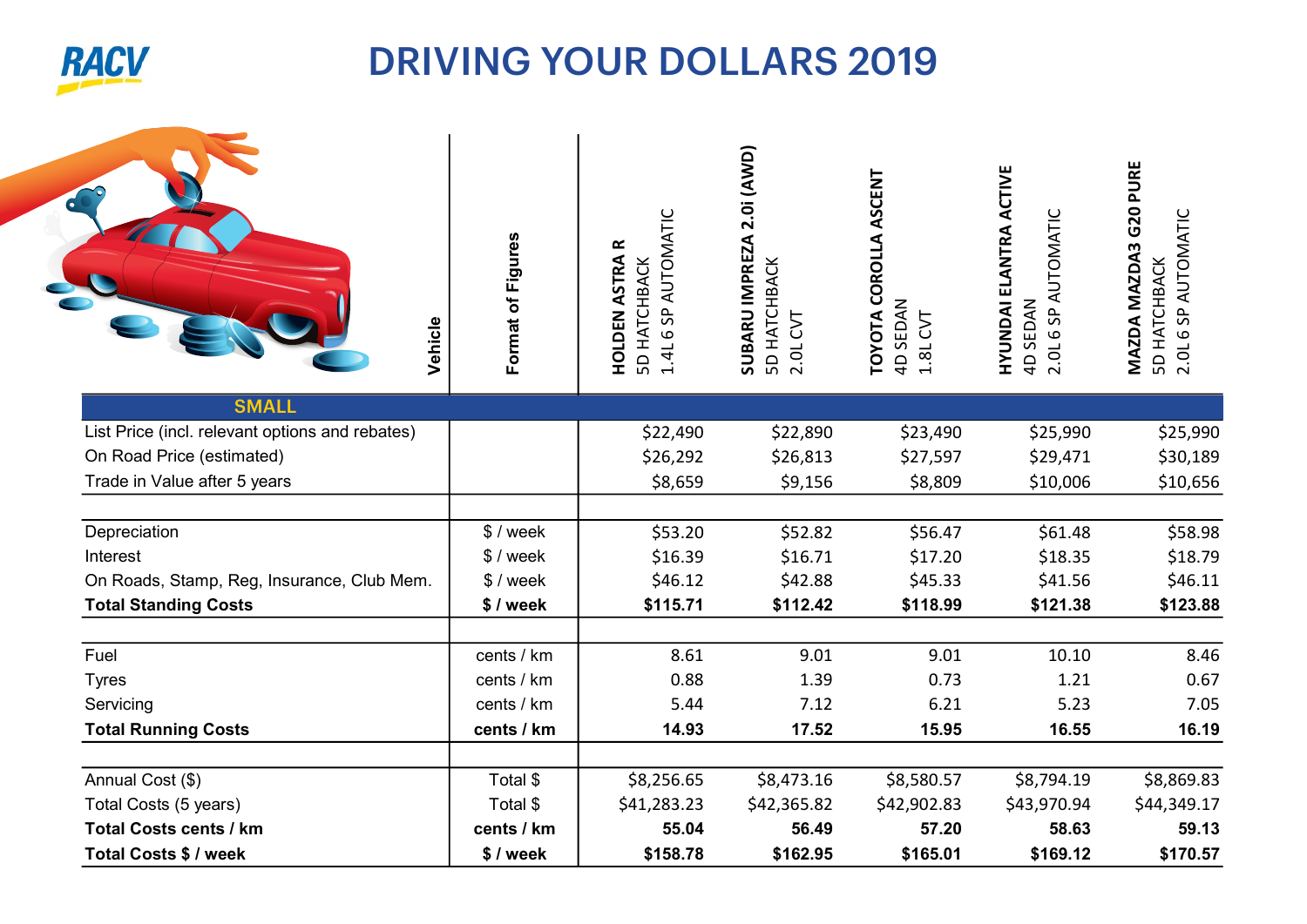

## DRIVING YOUR DOLLARS 2019 2019

| Vehicle                                         | Format of Figures | <b>6 SP AUTOMATIC</b><br><b>HOLDEN ASTRA R</b><br><b>5D HATCHBACK</b><br>1.4L | SUBARU IMPREZA 2.0i (AWD)<br><b>5D HATCHBACK</b><br>5<br>2.0L | TOYOTA COROLLA ASCENT<br>4D SEDAN<br>1.8L CVT | <b>HYUNDAI ELANTRA ACTIVE</b><br><b>6 SP AUTOMATIC</b><br>4D SEDAN<br>2.0 <sub>L</sub> | MAZDA MAZDA3 G20 PURE<br>5D HATCHBACK<br>2.0L 6 SP AUTOMATIC |
|-------------------------------------------------|-------------------|-------------------------------------------------------------------------------|---------------------------------------------------------------|-----------------------------------------------|----------------------------------------------------------------------------------------|--------------------------------------------------------------|
| <b>SMALL</b>                                    |                   |                                                                               |                                                               |                                               |                                                                                        |                                                              |
| List Price (incl. relevant options and rebates) |                   | \$22,490                                                                      | \$22,890                                                      | \$23,490                                      | \$25,990                                                                               | \$25,990                                                     |
| On Road Price (estimated)                       |                   | \$26,292                                                                      | \$26,813                                                      | \$27,597                                      | \$29,471                                                                               | \$30,189                                                     |
| Trade in Value after 5 years                    |                   | \$8,659                                                                       | \$9,156                                                       | \$8,809                                       | \$10,006                                                                               | \$10,656                                                     |
| Depreciation                                    | \$/week           | \$53.20                                                                       | \$52.82                                                       | \$56.47                                       | \$61.48                                                                                | \$58.98                                                      |
| Interest                                        | $$$ / week        | \$16.39                                                                       | \$16.71                                                       | \$17.20                                       | \$18.35                                                                                | \$18.79                                                      |
| On Roads, Stamp, Reg, Insurance, Club Mem.      | $$$ / week        | \$46.12                                                                       | \$42.88                                                       | \$45.33                                       | \$41.56                                                                                | \$46.11                                                      |
| <b>Total Standing Costs</b>                     | \$/week           | \$115.71                                                                      | \$112.42                                                      | \$118.99                                      | \$121.38                                                                               | \$123.88                                                     |
| Fuel                                            | cents / km        | 8.61                                                                          | 9.01                                                          | 9.01                                          | 10.10                                                                                  | 8.46                                                         |
| <b>Tyres</b>                                    | cents / km        | 0.88                                                                          | 1.39                                                          | 0.73                                          | 1.21                                                                                   | 0.67                                                         |
| Servicing                                       | cents / km        | 5.44                                                                          | 7.12                                                          | 6.21                                          | 5.23                                                                                   | 7.05                                                         |
| <b>Total Running Costs</b>                      | cents / km        | 14.93                                                                         | 17.52                                                         | 15.95                                         | 16.55                                                                                  | 16.19                                                        |
| Annual Cost (\$)                                | Total \$          |                                                                               |                                                               |                                               |                                                                                        |                                                              |
| Total Costs (5 years)                           | Total \$          | \$8,256.65<br>\$41,283.23                                                     | \$8,473.16<br>\$42,365.82                                     | \$8,580.57<br>\$42,902.83                     | \$8,794.19<br>\$43,970.94                                                              | \$8,869.83<br>\$44,349.17                                    |
| <b>Total Costs cents / km</b>                   | cents / km        | 55.04                                                                         | 56.49                                                         | 57.20                                         | 58.63                                                                                  | 59.13                                                        |
| <b>Total Costs \$ / week</b>                    | \$/week           | \$158.78                                                                      | \$162.95                                                      | \$165.01                                      | \$169.12                                                                               | \$170.57                                                     |
|                                                 |                   |                                                                               |                                                               |                                               |                                                                                        |                                                              |